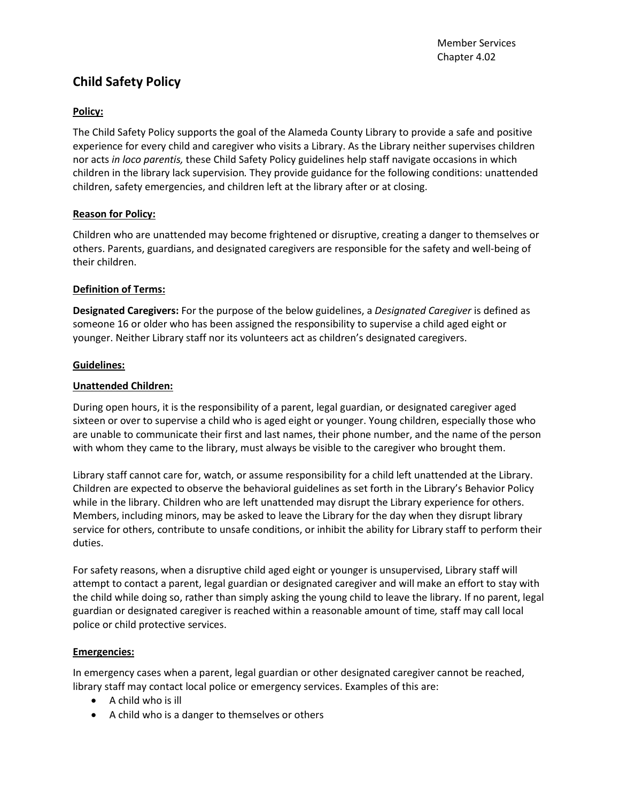# **Child Safety Policy**

## **Policy:**

The Child Safety Policy supports the goal of the Alameda County Library to provide a safe and positive experience for every child and caregiver who visits a Library. As the Library neither supervises children nor acts *in loco parentis,* these Child Safety Policy guidelines help staff navigate occasions in which children in the library lack supervision*.* They provide guidance for the following conditions: unattended children, safety emergencies, and children left at the library after or at closing.

## **Reason for Policy:**

Children who are unattended may become frightened or disruptive, creating a danger to themselves or others. Parents, guardians, and designated caregivers are responsible for the safety and well-being of their children.

## **Definition of Terms:**

**Designated Caregivers:** For the purpose of the below guidelines, a *Designated Caregiver* is defined as someone 16 or older who has been assigned the responsibility to supervise a child aged eight or younger. Neither Library staff nor its volunteers act as children's designated caregivers.

#### **Guidelines:**

## **Unattended Children:**

During open hours, it is the responsibility of a parent, legal guardian, or designated caregiver aged sixteen or over to supervise a child who is aged eight or younger. Young children, especially those who are unable to communicate their first and last names, their phone number, and the name of the person with whom they came to the library, must always be visible to the caregiver who brought them.

Library staff cannot care for, watch, or assume responsibility for a child left unattended at the Library. Children are expected to observe the behavioral guidelines as set forth in the Library's Behavior Policy while in the library. Children who are left unattended may disrupt the Library experience for others. Members, including minors, may be asked to leave the Library for the day when they disrupt library service for others, contribute to unsafe conditions, or inhibit the ability for Library staff to perform their duties.

For safety reasons, when a disruptive child aged eight or younger is unsupervised, Library staff will attempt to contact a parent, legal guardian or designated caregiver and will make an effort to stay with the child while doing so, rather than simply asking the young child to leave the library. If no parent, legal guardian or designated caregiver is reached within a reasonable amount of time*,* staff may call local police or child protective services.

#### **Emergencies:**

In emergency cases when a parent, legal guardian or other designated caregiver cannot be reached, library staff may contact local police or emergency services. Examples of this are:

- A child who is ill
- A child who is a danger to themselves or others